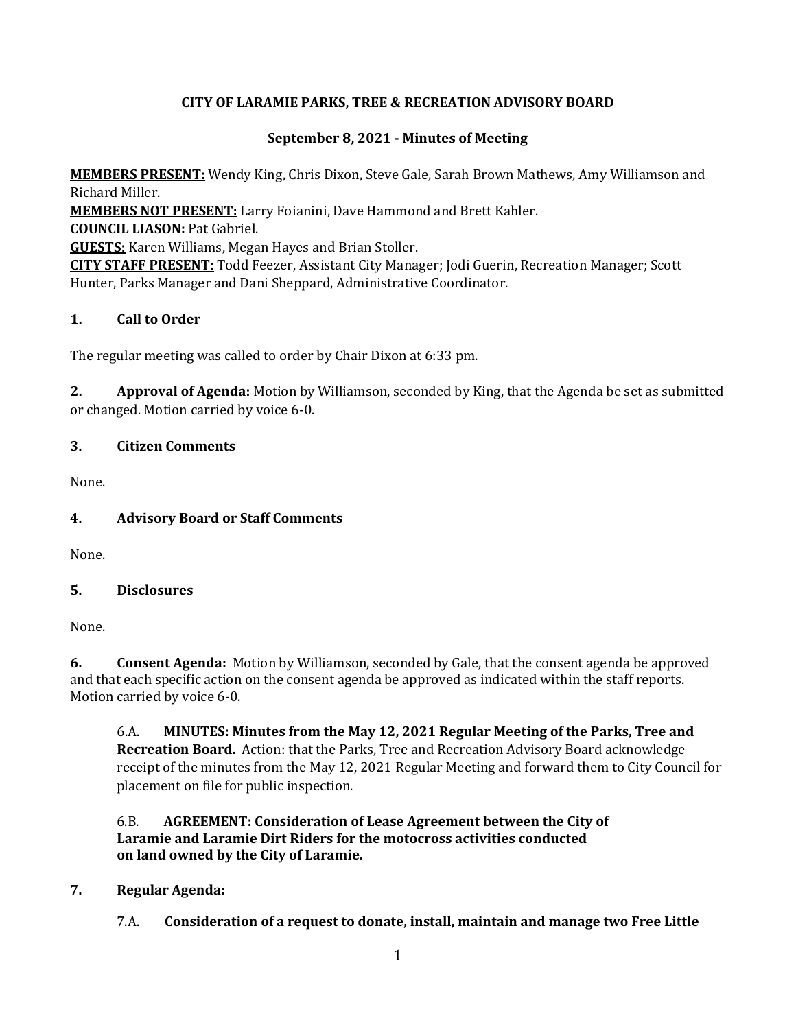# **CITY OF LARAMIE PARKS, TREE & RECREATION ADVISORY BOARD**

## **September 8, 2021 - Minutes of Meeting**

**MEMBERS PRESENT:** Wendy King, Chris Dixon, Steve Gale, Sarah Brown Mathews, Amy Williamson and Richard Miller. **MEMBERS NOT PRESENT:** Larry Foianini, Dave Hammond and Brett Kahler. **COUNCIL LIASON:** Pat Gabriel. **GUESTS:** Karen Williams, Megan Hayes and Brian Stoller. **CITY STAFF PRESENT:** Todd Feezer, Assistant City Manager; Jodi Guerin, Recreation Manager; Scott Hunter, Parks Manager and Dani Sheppard, Administrative Coordinator.

## **1. Call to Order**

The regular meeting was called to order by Chair Dixon at 6:33 pm.

**2. Approval of Agenda:** Motion by Williamson, seconded by King, that the Agenda be set as submitted or changed. Motion carried by voice 6-0.

## **3. Citizen Comments**

None.

# **4. Advisory Board or Staff Comments**

None.

## **5. Disclosures**

None.

**6. Consent Agenda:** Motion by Williamson, seconded by Gale, that the consent agenda be approved and that each specific action on the consent agenda be approved as indicated within the staff reports. Motion carried by voice 6-0.

6.A. **MINUTES: Minutes from the May 12, 2021 Regular Meeting of the Parks, Tree and Recreation Board.** Action: that the Parks, Tree and Recreation Advisory Board acknowledge receipt of the minutes from the May 12, 2021 Regular Meeting and forward them to City Council for placement on file for public inspection.

## 6.B. **AGREEMENT: Consideration of Lease Agreement between the City of Laramie and Laramie Dirt Riders for the motocross activities conducted on land owned by the City of Laramie.**

## **7. Regular Agenda:**

7.A. **Consideration of a request to donate, install, maintain and manage two Free Little**